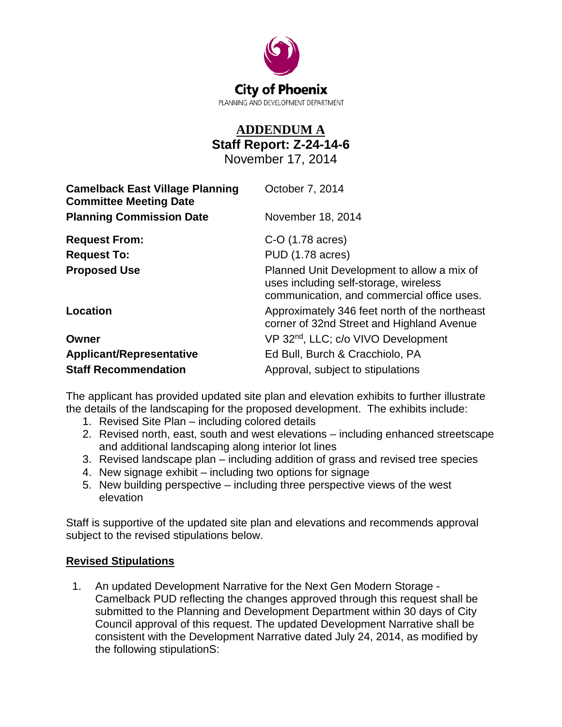

## **ADDENDUM A Staff Report: Z-24-14-6** November 17, 2014

| <b>Camelback East Village Planning</b><br><b>Committee Meeting Date</b> | October 7, 2014                                                                                                                   |
|-------------------------------------------------------------------------|-----------------------------------------------------------------------------------------------------------------------------------|
| <b>Planning Commission Date</b>                                         | November 18, 2014                                                                                                                 |
| <b>Request From:</b>                                                    | C-O (1.78 acres)                                                                                                                  |
| <b>Request To:</b>                                                      | PUD (1.78 acres)                                                                                                                  |
| <b>Proposed Use</b>                                                     | Planned Unit Development to allow a mix of<br>uses including self-storage, wireless<br>communication, and commercial office uses. |
| Location                                                                | Approximately 346 feet north of the northeast<br>corner of 32nd Street and Highland Avenue                                        |
| Owner                                                                   | VP 32 <sup>nd</sup> , LLC; c/o VIVO Development                                                                                   |
| <b>Applicant/Representative</b>                                         | Ed Bull, Burch & Cracchiolo, PA                                                                                                   |
| <b>Staff Recommendation</b>                                             | Approval, subject to stipulations                                                                                                 |

The applicant has provided updated site plan and elevation exhibits to further illustrate the details of the landscaping for the proposed development. The exhibits include:

- 1. Revised Site Plan including colored details
- 2. Revised north, east, south and west elevations including enhanced streetscape and additional landscaping along interior lot lines
- 3. Revised landscape plan including addition of grass and revised tree species
- 4. New signage exhibit including two options for signage
- 5. New building perspective including three perspective views of the west elevation

Staff is supportive of the updated site plan and elevations and recommends approval subject to the revised stipulations below.

## **Revised Stipulations**

 1. An updated Development Narrative for the Next Gen Modern Storage - Camelback PUD reflecting the changes approved through this request shall be submitted to the Planning and Development Department within 30 days of City Council approval of this request. The updated Development Narrative shall be consistent with the Development Narrative dated July 24, 2014, as modified by the following stipulationS: